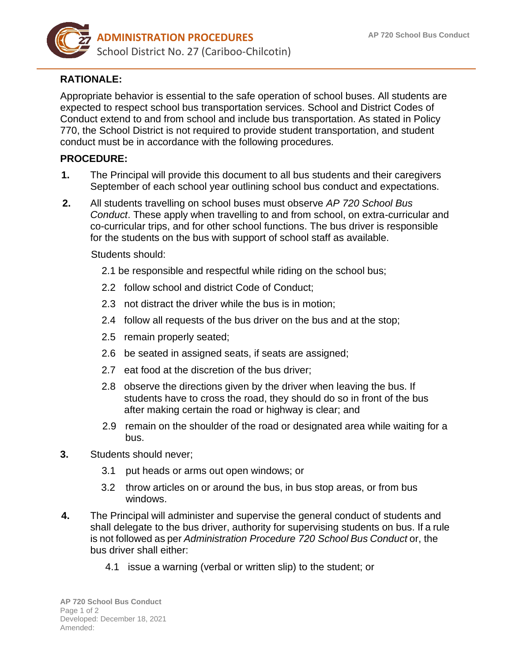

## **RATIONALE:**

Appropriate behavior is essential to the safe operation of school buses. All students are expected to respect school bus transportation services. School and District Codes of Conduct extend to and from school and include bus transportation. As stated in Policy 770, the School District is not required to provide student transportation, and student conduct must be in accordance with the following procedures.

## **PROCEDURE:**

- **1.** The Principal will provide this document to all bus students and their caregivers September of each school year outlining school bus conduct and expectations.
- **2.** All students travelling on school buses must observe *AP 720 School Bus Conduct*. These apply when travelling to and from school, on extra-curricular and co-curricular trips, and for other school functions. The bus driver is responsible for the students on the bus with support of school staff as available.

## Students should:

- 2.1 be responsible and respectful while riding on the school bus;
- 2.2 follow school and district Code of Conduct;
- 2.3 not distract the driver while the bus is in motion;
- 2.4 follow all requests of the bus driver on the bus and at the stop;
- 2.5 remain properly seated;
- 2.6 be seated in assigned seats, if seats are assigned;
- 2.7 eat food at the discretion of the bus driver;
- 2.8 observe the directions given by the driver when leaving the bus. If students have to cross the road, they should do so in front of the bus after making certain the road or highway is clear; and
- 2.9 remain on the shoulder of the road or designated area while waiting for a bus.
- **3.** Students should never;
	- 3.1 put heads or arms out open windows; or
	- 3.2 throw articles on or around the bus, in bus stop areas, or from bus windows.
- **4.** The Principal will administer and supervise the general conduct of students and shall delegate to the bus driver, authority for supervising students on bus. If a rule is not followed as per *Administration Procedure 720 School Bus Conduct* or, the bus driver shall either:
	- 4.1 issue a warning (verbal or written slip) to the student; or